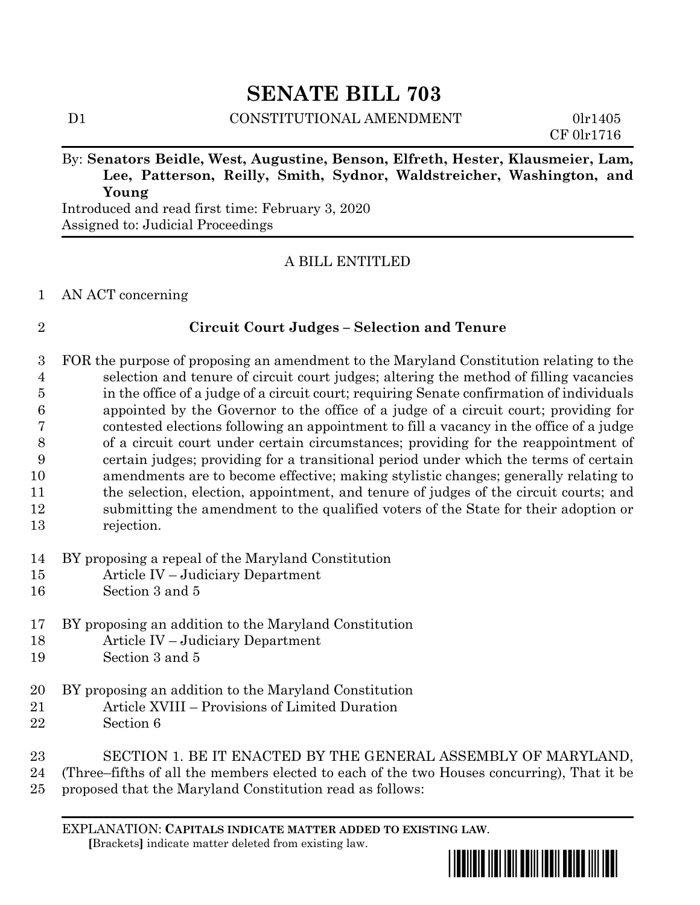# **SENATE BILL 703**

D1 CONSTITUTIONAL AMENDMENT 0lr1405

CF 0lr1716

# By: **Senators Beidle, West, Augustine, Benson, Elfreth, Hester, Klausmeier, Lam, Lee, Patterson, Reilly, Smith, Sydnor, Waldstreicher, Washington, and Young**

Introduced and read first time: February 3, 2020 Assigned to: Judicial Proceedings

# A BILL ENTITLED

### AN ACT concerning

# **Circuit Court Judges – Selection and Tenure**

 FOR the purpose of proposing an amendment to the Maryland Constitution relating to the selection and tenure of circuit court judges; altering the method of filling vacancies in the office of a judge of a circuit court; requiring Senate confirmation of individuals appointed by the Governor to the office of a judge of a circuit court; providing for contested elections following an appointment to fill a vacancy in the office of a judge of a circuit court under certain circumstances; providing for the reappointment of certain judges; providing for a transitional period under which the terms of certain amendments are to become effective; making stylistic changes; generally relating to the selection, election, appointment, and tenure of judges of the circuit courts; and submitting the amendment to the qualified voters of the State for their adoption or rejection.

- BY proposing a repeal of the Maryland Constitution
- Article IV Judiciary Department
- Section 3 and 5
- BY proposing an addition to the Maryland Constitution
- Article IV Judiciary Department
- Section 3 and 5
- BY proposing an addition to the Maryland Constitution
- Article XVIII Provisions of Limited Duration
- Section 6
- SECTION 1. BE IT ENACTED BY THE GENERAL ASSEMBLY OF MARYLAND,
- (Three–fifths of all the members elected to each of the two Houses concurring), That it be
- proposed that the Maryland Constitution read as follows:

EXPLANATION: **CAPITALS INDICATE MATTER ADDED TO EXISTING LAW**.  **[**Brackets**]** indicate matter deleted from existing law.

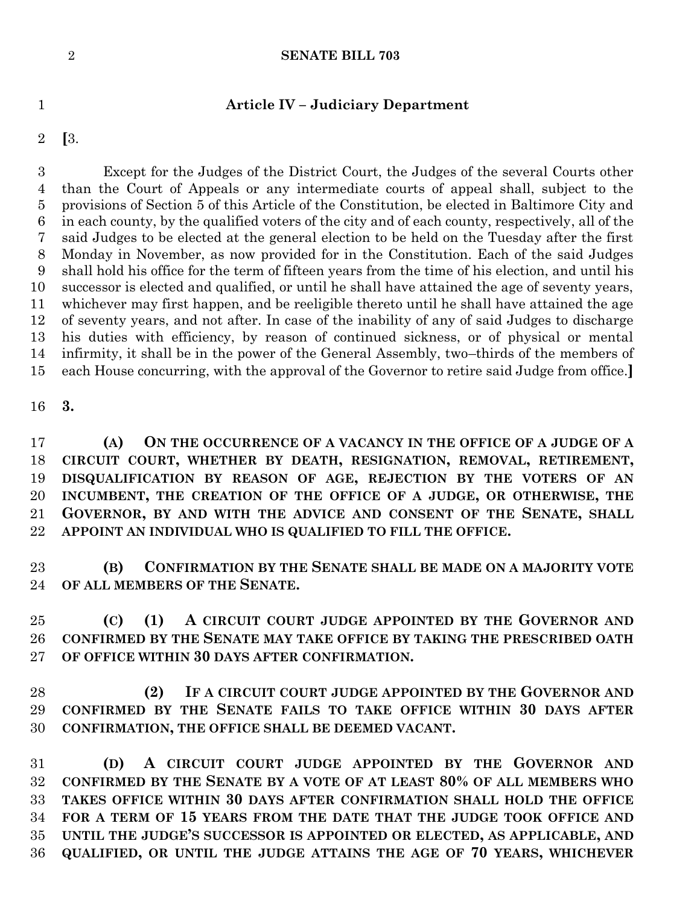#### **SENATE BILL 703**

#### **Article IV – Judiciary Department**

**[**3.

 Except for the Judges of the District Court, the Judges of the several Courts other than the Court of Appeals or any intermediate courts of appeal shall, subject to the provisions of Section 5 of this Article of the Constitution, be elected in Baltimore City and in each county, by the qualified voters of the city and of each county, respectively, all of the said Judges to be elected at the general election to be held on the Tuesday after the first Monday in November, as now provided for in the Constitution. Each of the said Judges shall hold his office for the term of fifteen years from the time of his election, and until his successor is elected and qualified, or until he shall have attained the age of seventy years, whichever may first happen, and be reeligible thereto until he shall have attained the age of seventy years, and not after. In case of the inability of any of said Judges to discharge his duties with efficiency, by reason of continued sickness, or of physical or mental infirmity, it shall be in the power of the General Assembly, two–thirds of the members of each House concurring, with the approval of the Governor to retire said Judge from office.**]**

**3.**

 **(A) ON THE OCCURRENCE OF A VACANCY IN THE OFFICE OF A JUDGE OF A CIRCUIT COURT, WHETHER BY DEATH, RESIGNATION, REMOVAL, RETIREMENT, DISQUALIFICATION BY REASON OF AGE, REJECTION BY THE VOTERS OF AN INCUMBENT, THE CREATION OF THE OFFICE OF A JUDGE, OR OTHERWISE, THE GOVERNOR, BY AND WITH THE ADVICE AND CONSENT OF THE SENATE, SHALL APPOINT AN INDIVIDUAL WHO IS QUALIFIED TO FILL THE OFFICE.**

 **(B) CONFIRMATION BY THE SENATE SHALL BE MADE ON A MAJORITY VOTE OF ALL MEMBERS OF THE SENATE.**

 **(C) (1) A CIRCUIT COURT JUDGE APPOINTED BY THE GOVERNOR AND CONFIRMED BY THE SENATE MAY TAKE OFFICE BY TAKING THE PRESCRIBED OATH OF OFFICE WITHIN 30 DAYS AFTER CONFIRMATION.**

 **(2) IF A CIRCUIT COURT JUDGE APPOINTED BY THE GOVERNOR AND CONFIRMED BY THE SENATE FAILS TO TAKE OFFICE WITHIN 30 DAYS AFTER CONFIRMATION, THE OFFICE SHALL BE DEEMED VACANT.**

 **(D) A CIRCUIT COURT JUDGE APPOINTED BY THE GOVERNOR AND CONFIRMED BY THE SENATE BY A VOTE OF AT LEAST 80% OF ALL MEMBERS WHO TAKES OFFICE WITHIN 30 DAYS AFTER CONFIRMATION SHALL HOLD THE OFFICE FOR A TERM OF 15 YEARS FROM THE DATE THAT THE JUDGE TOOK OFFICE AND UNTIL THE JUDGE'S SUCCESSOR IS APPOINTED OR ELECTED, AS APPLICABLE, AND QUALIFIED, OR UNTIL THE JUDGE ATTAINS THE AGE OF 70 YEARS, WHICHEVER**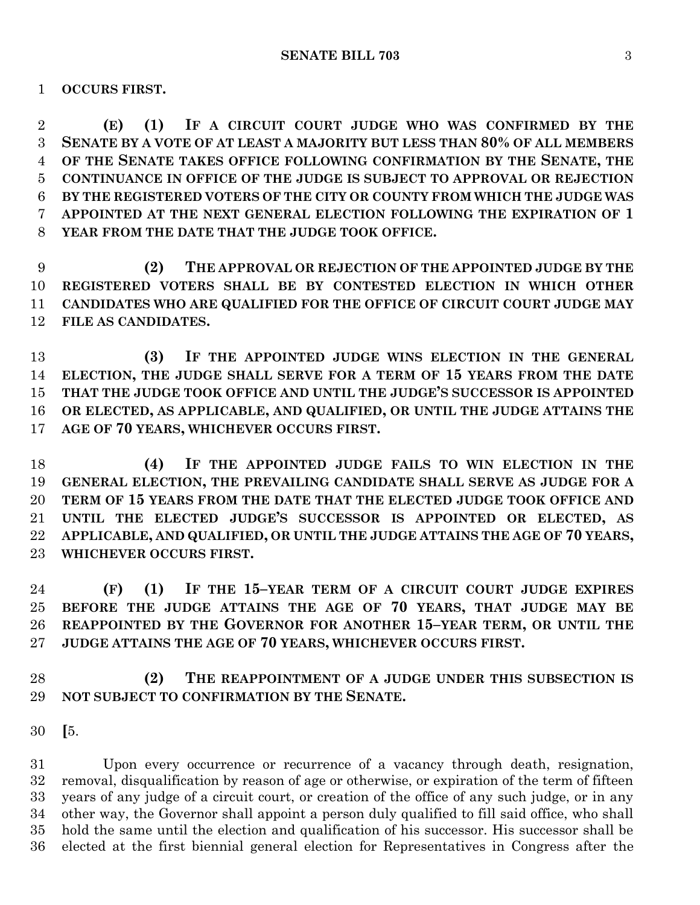**OCCURS FIRST.**

 **(E) (1) IF A CIRCUIT COURT JUDGE WHO WAS CONFIRMED BY THE SENATE BY A VOTE OF AT LEAST A MAJORITY BUT LESS THAN 80% OF ALL MEMBERS OF THE SENATE TAKES OFFICE FOLLOWING CONFIRMATION BY THE SENATE, THE CONTINUANCE IN OFFICE OF THE JUDGE IS SUBJECT TO APPROVAL OR REJECTION BY THE REGISTERED VOTERS OF THE CITY OR COUNTY FROM WHICH THE JUDGE WAS APPOINTED AT THE NEXT GENERAL ELECTION FOLLOWING THE EXPIRATION OF 1 YEAR FROM THE DATE THAT THE JUDGE TOOK OFFICE.**

 **(2) THE APPROVAL OR REJECTION OF THE APPOINTED JUDGE BY THE REGISTERED VOTERS SHALL BE BY CONTESTED ELECTION IN WHICH OTHER CANDIDATES WHO ARE QUALIFIED FOR THE OFFICE OF CIRCUIT COURT JUDGE MAY FILE AS CANDIDATES.**

 **(3) IF THE APPOINTED JUDGE WINS ELECTION IN THE GENERAL ELECTION, THE JUDGE SHALL SERVE FOR A TERM OF 15 YEARS FROM THE DATE THAT THE JUDGE TOOK OFFICE AND UNTIL THE JUDGE'S SUCCESSOR IS APPOINTED OR ELECTED, AS APPLICABLE, AND QUALIFIED, OR UNTIL THE JUDGE ATTAINS THE AGE OF 70 YEARS, WHICHEVER OCCURS FIRST.**

 **(4) IF THE APPOINTED JUDGE FAILS TO WIN ELECTION IN THE GENERAL ELECTION, THE PREVAILING CANDIDATE SHALL SERVE AS JUDGE FOR A TERM OF 15 YEARS FROM THE DATE THAT THE ELECTED JUDGE TOOK OFFICE AND UNTIL THE ELECTED JUDGE'S SUCCESSOR IS APPOINTED OR ELECTED, AS APPLICABLE, AND QUALIFIED, OR UNTIL THE JUDGE ATTAINS THE AGE OF 70 YEARS, WHICHEVER OCCURS FIRST.**

 **(F) (1) IF THE 15–YEAR TERM OF A CIRCUIT COURT JUDGE EXPIRES BEFORE THE JUDGE ATTAINS THE AGE OF 70 YEARS, THAT JUDGE MAY BE REAPPOINTED BY THE GOVERNOR FOR ANOTHER 15–YEAR TERM, OR UNTIL THE JUDGE ATTAINS THE AGE OF 70 YEARS, WHICHEVER OCCURS FIRST.**

 **(2) THE REAPPOINTMENT OF A JUDGE UNDER THIS SUBSECTION IS NOT SUBJECT TO CONFIRMATION BY THE SENATE.**

 Upon every occurrence or recurrence of a vacancy through death, resignation, removal, disqualification by reason of age or otherwise, or expiration of the term of fifteen years of any judge of a circuit court, or creation of the office of any such judge, or in any other way, the Governor shall appoint a person duly qualified to fill said office, who shall hold the same until the election and qualification of his successor. His successor shall be elected at the first biennial general election for Representatives in Congress after the

**[**5.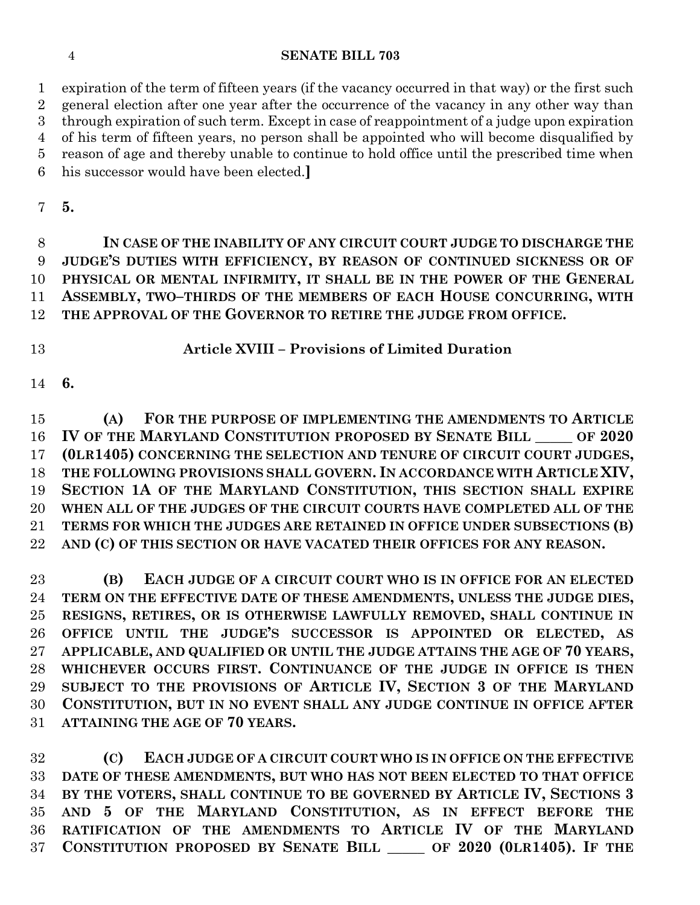#### **SENATE BILL 703**

 expiration of the term of fifteen years (if the vacancy occurred in that way) or the first such general election after one year after the occurrence of the vacancy in any other way than through expiration of such term. Except in case of reappointment of a judge upon expiration of his term of fifteen years, no person shall be appointed who will become disqualified by reason of age and thereby unable to continue to hold office until the prescribed time when his successor would have been elected.**]**

**5.**

 **IN CASE OF THE INABILITY OF ANY CIRCUIT COURT JUDGE TO DISCHARGE THE JUDGE'S DUTIES WITH EFFICIENCY, BY REASON OF CONTINUED SICKNESS OR OF PHYSICAL OR MENTAL INFIRMITY, IT SHALL BE IN THE POWER OF THE GENERAL ASSEMBLY, TWO–THIRDS OF THE MEMBERS OF EACH HOUSE CONCURRING, WITH THE APPROVAL OF THE GOVERNOR TO RETIRE THE JUDGE FROM OFFICE.**

# **Article XVIII – Provisions of Limited Duration**

**6.**

 **(A) FOR THE PURPOSE OF IMPLEMENTING THE AMENDMENTS TO ARTICLE IV OF THE MARYLAND CONSTITUTION PROPOSED BY SENATE BILL \_\_\_\_\_ OF 2020 (0LR1405) CONCERNING THE SELECTION AND TENURE OF CIRCUIT COURT JUDGES, THE FOLLOWING PROVISIONS SHALL GOVERN. IN ACCORDANCE WITH ARTICLE XIV, SECTION 1A OF THE MARYLAND CONSTITUTION, THIS SECTION SHALL EXPIRE WHEN ALL OF THE JUDGES OF THE CIRCUIT COURTS HAVE COMPLETED ALL OF THE TERMS FOR WHICH THE JUDGES ARE RETAINED IN OFFICE UNDER SUBSECTIONS (B) AND (C) OF THIS SECTION OR HAVE VACATED THEIR OFFICES FOR ANY REASON.**

 **(B) EACH JUDGE OF A CIRCUIT COURT WHO IS IN OFFICE FOR AN ELECTED TERM ON THE EFFECTIVE DATE OF THESE AMENDMENTS, UNLESS THE JUDGE DIES, RESIGNS, RETIRES, OR IS OTHERWISE LAWFULLY REMOVED, SHALL CONTINUE IN OFFICE UNTIL THE JUDGE'S SUCCESSOR IS APPOINTED OR ELECTED, AS APPLICABLE, AND QUALIFIED OR UNTIL THE JUDGE ATTAINS THE AGE OF 70 YEARS, WHICHEVER OCCURS FIRST. CONTINUANCE OF THE JUDGE IN OFFICE IS THEN SUBJECT TO THE PROVISIONS OF ARTICLE IV, SECTION 3 OF THE MARYLAND CONSTITUTION, BUT IN NO EVENT SHALL ANY JUDGE CONTINUE IN OFFICE AFTER ATTAINING THE AGE OF 70 YEARS.**

 **(C) EACH JUDGE OF A CIRCUIT COURT WHO IS IN OFFICE ON THE EFFECTIVE DATE OF THESE AMENDMENTS, BUT WHO HAS NOT BEEN ELECTED TO THAT OFFICE BY THE VOTERS, SHALL CONTINUE TO BE GOVERNED BY ARTICLE IV, SECTIONS 3 AND 5 OF THE MARYLAND CONSTITUTION, AS IN EFFECT BEFORE THE RATIFICATION OF THE AMENDMENTS TO ARTICLE IV OF THE MARYLAND CONSTITUTION PROPOSED BY SENATE BILL \_\_\_\_\_ OF 2020 (0LR1405). IF THE**